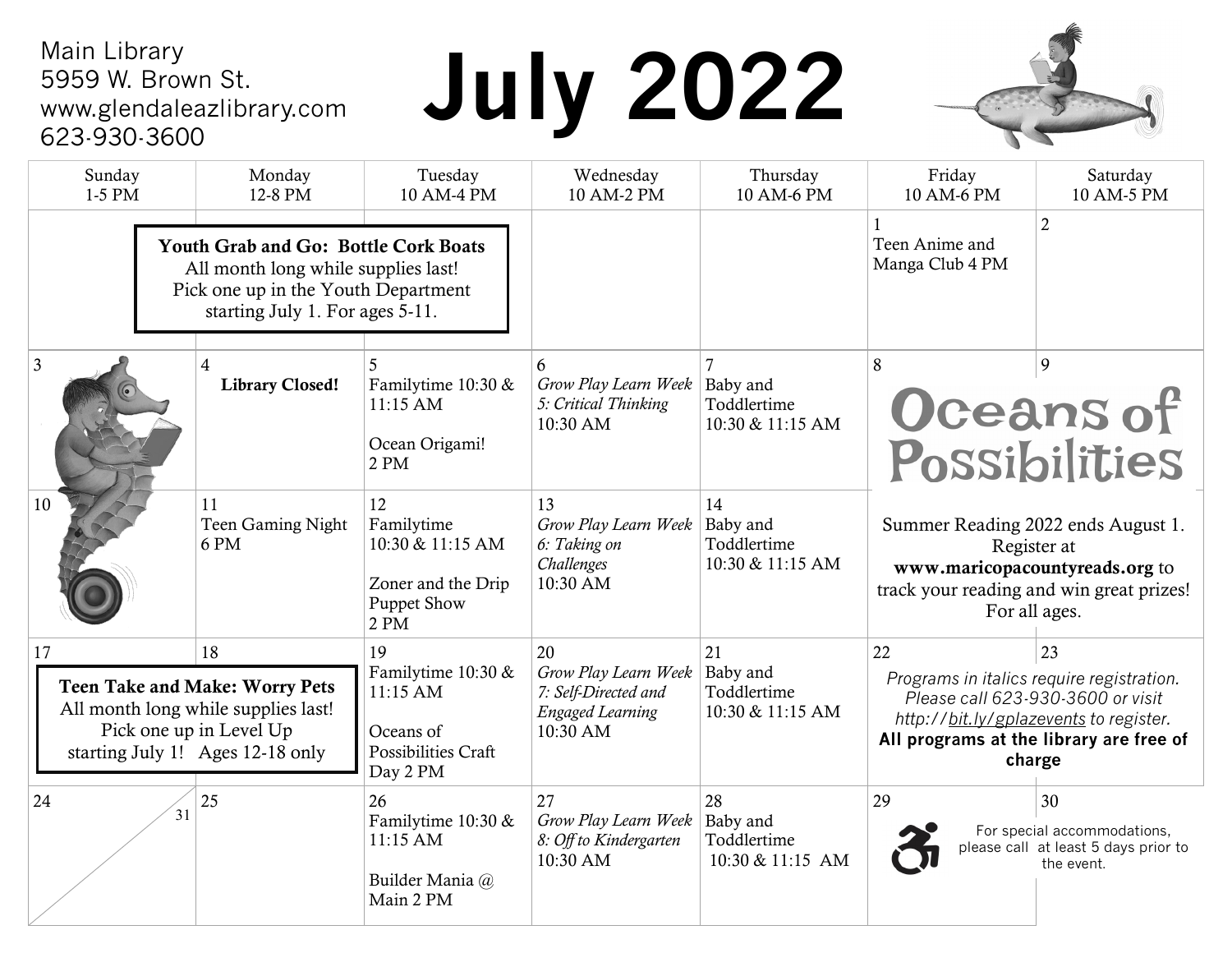#### Main Library 5959 W. Brown St. www.glendaleazlibrary.com 623-930-3600

# **July 2022**



| Sunday<br>1-5 PM                                                                                                                                             | Monday<br>12-8 PM                        | Tuesday<br>10 AM-4 PM                                                                   | Wednesday<br>10 AM-2 PM                                                                   | Thursday<br>10 AM-6 PM                            | Friday<br>10 AM-6 PM                                                                                                                                                                      | Saturday<br>10 AM-5 PM                                                                  |
|--------------------------------------------------------------------------------------------------------------------------------------------------------------|------------------------------------------|-----------------------------------------------------------------------------------------|-------------------------------------------------------------------------------------------|---------------------------------------------------|-------------------------------------------------------------------------------------------------------------------------------------------------------------------------------------------|-----------------------------------------------------------------------------------------|
| <b>Youth Grab and Go: Bottle Cork Boats</b><br>All month long while supplies last!<br>Pick one up in the Youth Department<br>starting July 1. For ages 5-11. |                                          |                                                                                         |                                                                                           |                                                   | Teen Anime and<br>Manga Club 4 PM                                                                                                                                                         | $\overline{2}$                                                                          |
| $\overline{3}$                                                                                                                                               | $\overline{4}$<br><b>Library Closed!</b> | Familytime 10:30 &<br>11:15 AM<br>Ocean Origami!<br>2 PM                                | 6<br>Grow Play Learn Week<br>5: Critical Thinking<br>10:30 AM                             | Baby and<br>Toddlertime<br>10:30 & 11:15 AM       | 9<br>8<br>Oceans of<br>Possibilities                                                                                                                                                      |                                                                                         |
| 10                                                                                                                                                           | 11<br>Teen Gaming Night<br>6 PM          | 12<br>Familytime<br>10:30 & 11:15 AM<br>Zoner and the Drip<br><b>Puppet Show</b><br>2PM | 13<br>Grow Play Learn Week<br>6: Taking on<br>Challenges<br>10:30 AM                      | 14<br>Baby and<br>Toddlertime<br>10:30 & 11:15 AM | Summer Reading 2022 ends August 1.<br>Register at<br>www.maricopacountyreads.org to<br>track your reading and win great prizes!<br>For all ages.                                          |                                                                                         |
| 18<br>17<br><b>Teen Take and Make: Worry Pets</b><br>All month long while supplies last!<br>Pick one up in Level Up<br>starting July 1! Ages 12-18 only      |                                          | 19<br>Familytime 10:30 &<br>11:15 AM<br>Oceans of<br>Possibilities Craft<br>Day 2 PM    | 20<br>Grow Play Learn Week<br>7: Self-Directed and<br><b>Engaged Learning</b><br>10:30 AM | 21<br>Baby and<br>Toddlertime<br>10:30 & 11:15 AM | 22<br>23<br>Programs in italics require registration.<br>Please call 623-930-3600 or visit<br>http://bit.ly/gplazevents to register.<br>All programs at the library are free of<br>charge |                                                                                         |
| 24                                                                                                                                                           | 25<br>31                                 | 26<br>Familytime 10:30 &<br>11:15 AM<br>Builder Mania @<br>Main 2 PM                    | 27<br>Grow Play Learn Week<br>8: Off to Kindergarten<br>10:30 AM                          | 28<br>Baby and<br>Toddlertime<br>10:30 & 11:15 AM | 29                                                                                                                                                                                        | 30<br>For special accommodations,<br>please call at least 5 days prior to<br>the event. |